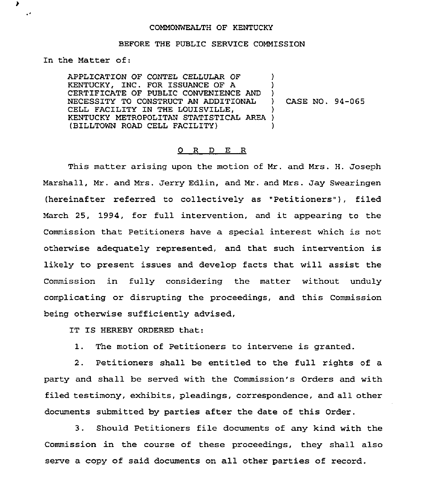## COMMONWEALTH OF KENTUCKY

## BEFORE THE PUBLIC SERVICE COMMISSION

Zn the Matter of:

,  $\mathbf{r}$ 

> APPLICATZON OF CONTEL CELLULAR OF KENTUCKY, INC. FOR ISSUANCE OF A CERTIFICATE OF PUBLIC CONVENIENCE AND NECESSITY TO CONSTRUCT AN ADDITIONAL CELL FACILITY IN THE LOUISVILLE, KENTUCKY METROPOLITAN STATISTICAL AREA ) (BILLTOWN ROAD CELL FACILITY) ) ) )<br> $)$ ) CASE NO. 94-065 ) )

## 0 R <sup>D</sup> E R

This matter arising upon the motion of Mr. and Mrs. H. Joseph Marshall, Mr. and Mrs. Jerry Edlin, and Mr. and Mrs. Jay Swearingen (hereinafter referred to collectively as "Petitioners"), filed March 25, 1994, for full intervention, and it appearing to the Commission that Petitioners have a special interest which is not otherwise adequately represented, and that such intervention is likely to present issues and develop facts that will assist the Commission in fully considering the matter without unduly complicating or disrupting the proceedings, and this Commission being otherwise sufficiently advised,

IT IS HEREBY ORDERED that:

1. The motion of Petitioners to intervene is granted.

2. Petitioners shall be entitled to the full rights of a party and shall be served with the Commission's Orders and with filed testimony, exhibits, pleadings, correspondence, and all other documents submitted by parties after the date of this Order.

3. Should Petitioners file documents of any kind with the Commission in the course of these proceedings, they shall also serve a copy of said documents on all other parties of record.